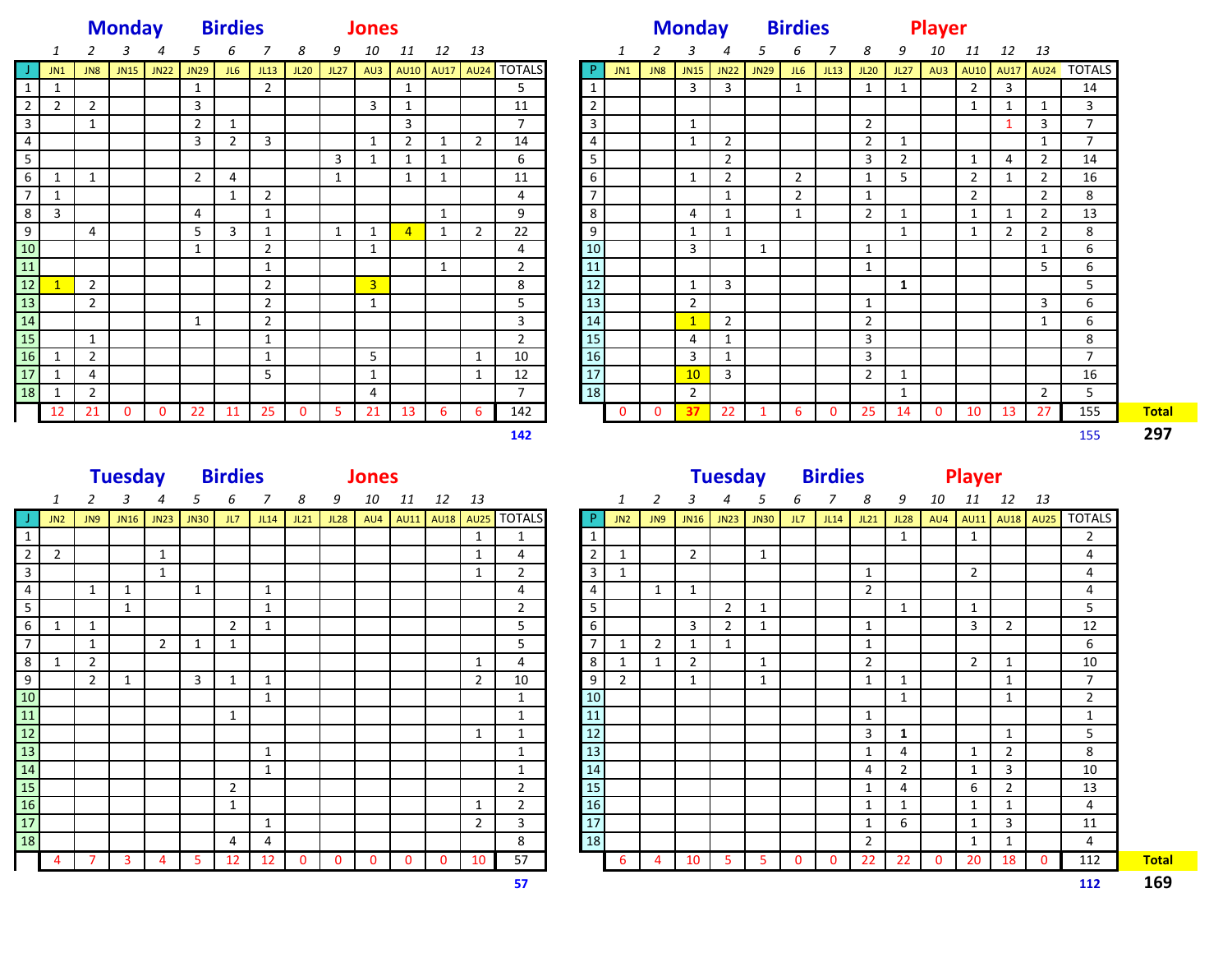|                                                                                                                                                                |                 | <b>Monday</b>  |                         | <b>Birdies</b>               |                    |                         | <b>Jones</b>   |                                     |                |                |                              |                              |                              |                                  |                     |                         | <b>Monday</b>  |                                           |                                  |                |                | <b>Birdies</b> |                                  | <b>Player</b>       |             |                         |                         |                         |                                        |
|----------------------------------------------------------------------------------------------------------------------------------------------------------------|-----------------|----------------|-------------------------|------------------------------|--------------------|-------------------------|----------------|-------------------------------------|----------------|----------------|------------------------------|------------------------------|------------------------------|----------------------------------|---------------------|-------------------------|----------------|-------------------------------------------|----------------------------------|----------------|----------------|----------------|----------------------------------|---------------------|-------------|-------------------------|-------------------------|-------------------------|----------------------------------------|
|                                                                                                                                                                | $\mathbf{1}$    | $\overline{2}$ | 3                       | $\overline{a}$               | 5                  | 6                       | $\overline{7}$ | 8                                   |                | 9 10           |                              | 11  12  13                   |                              |                                  |                     | 1                       | 2              | 3                                         | $\overline{a}$                   | 5 <sub>1</sub> | 6              | 7              | 8                                |                     | 9 10 11     |                         | 12 13                   |                         |                                        |
|                                                                                                                                                                | JN1             | JN8            | JN15                    | JN22                         | JN29 JL6           |                         |                | JL13 JL20                           | JL27           |                |                              |                              |                              | AU3 AU10 AU17 AU24 TOTALS        | $\mathsf{P}$        | JN1                     | JN8            | JN15 JN22                                 |                                  | JN29 JL6 JL13  |                |                | JL20                             | JL27                |             |                         |                         |                         | AU3 AU10 AU17 AU24 TOTALS              |
| 1                                                                                                                                                              | $\mathbf{1}$    |                |                         |                              | $\mathbf{1}$       |                         | $\overline{2}$ |                                     |                |                | 1                            |                              |                              | 5 <sup>5</sup>                   | 1                   |                         |                | $\overline{3}$                            | 3                                |                | 1              |                | 1                                | $\overline{1}$      |             | $\overline{2}$          | $\overline{\mathbf{3}}$ |                         | 14                                     |
| $\overline{2}$                                                                                                                                                 | $\overline{2}$  | $\overline{2}$ |                         |                              | $\mathbf{3}$       |                         |                |                                     |                | $\overline{3}$ | $\mathbf{1}$                 |                              |                              | 11                               | $\overline{2}$      |                         |                |                                           |                                  |                |                |                |                                  |                     |             | 1                       | 1                       | 1                       | $\overline{3}$                         |
| $\overline{\mathbf{3}}$                                                                                                                                        |                 | 1              |                         |                              | $\overline{2}$     | 1                       |                |                                     |                |                | 3                            |                              |                              | $7\overline{ }$                  | $\mathbf{3}$        |                         |                | $\mathbf{1}$                              |                                  |                |                |                | $\overline{2}$                   |                     |             |                         | $\mathbf{1}$            | $\overline{\mathbf{3}}$ | $\overline{7}$                         |
| $\overline{4}$                                                                                                                                                 |                 |                |                         |                              | $\overline{3}$     | $\overline{2}$          | $\overline{3}$ |                                     | $\overline{3}$ | $\mathbf{1}$   | $\overline{2}$               | $\mathbf{1}$                 | $\overline{2}$               | 14<br>6                          | $\overline{4}$<br>5 |                         |                | $\mathbf{1}$                              | $\overline{2}$<br>$\overline{2}$ |                |                |                | $\overline{2}$<br>$\overline{3}$ | 1<br>$\overline{2}$ |             | 1                       |                         | 1<br>$\overline{2}$     | $\overline{7}$<br>14                   |
| 5<br>6                                                                                                                                                         | $\mathbf{1}$    | 1              |                         |                              | $\overline{2}$     | $\overline{4}$          |                |                                     | $\mathbf{1}$   | $\mathbf{1}$   | $\mathbf{1}$<br>$\mathbf{1}$ | $\mathbf{1}$<br>$\mathbf{1}$ |                              | 11                               | 6                   |                         |                | $\mathbf{1}$                              | $\overline{2}$                   |                | $\overline{2}$ |                | $\mathbf{1}$                     | 5                   |             | $\overline{2}$          | 4<br>1                  | $\overline{2}$          | 16                                     |
| $\overline{7}$                                                                                                                                                 | $\mathbf{1}$    |                |                         |                              |                    | $\mathbf{1}$            | $\overline{2}$ |                                     |                |                |                              |                              |                              | $\overline{4}$                   | $\overline{7}$      |                         |                |                                           | 1                                |                | $\overline{2}$ |                | 1                                |                     |             | $\overline{2}$          |                         | $\overline{2}$          | 8                                      |
| 8                                                                                                                                                              | 3               |                |                         |                              | 4                  |                         | $\mathbf{1}$   |                                     |                |                |                              | $\mathbf{1}$                 |                              | 9                                | 8                   |                         |                | $\overline{4}$                            | 1                                |                | 1              |                | $\overline{2}$                   | 1                   |             | 1                       | 1                       | $\overline{2}$          | $\overline{13}$                        |
| 9                                                                                                                                                              |                 | $\overline{4}$ |                         |                              | 5                  | $\overline{\mathbf{3}}$ | $\mathbf{1}$   |                                     | 1              | $\mathbf{1}$   | $\overline{4}$               | $\mathbf{1}$                 | $\overline{2}$               | 22                               | 9                   |                         |                | $\mathbf{1}$                              | $\mathbf{1}$                     |                |                |                |                                  | 1                   |             | 1                       | $\overline{2}$          | $\overline{2}$          | 8                                      |
| $10\,$                                                                                                                                                         |                 |                |                         |                              | $\mathbf{1}$       |                         | $\overline{2}$ |                                     |                | 1              |                              |                              |                              | $\overline{4}$                   | 10                  |                         |                | $\overline{\mathbf{3}}$                   |                                  | 1              |                |                | 1                                |                     |             |                         |                         | 1                       | 6                                      |
| $11\,$                                                                                                                                                         |                 |                |                         |                              |                    |                         | $\mathbf{1}$   |                                     |                |                |                              | $\mathbf{1}$                 |                              | $\overline{2}$                   | 11                  |                         |                |                                           |                                  |                |                |                | 1                                |                     |             |                         |                         | 5                       | 6                                      |
| $\overline{12}$                                                                                                                                                | $\mathbf{1}$    | 2              |                         |                              |                    |                         | $\overline{2}$ |                                     |                | $\overline{3}$ |                              |                              |                              | 8                                | 12                  |                         |                | $\mathbf{1}$                              | $\overline{3}$                   |                |                |                |                                  | 1                   |             |                         |                         |                         | 5                                      |
| $\boxed{13}$                                                                                                                                                   |                 | $\overline{2}$ |                         |                              |                    |                         | $\overline{2}$ |                                     |                | 1              |                              |                              |                              | 5 <sup>1</sup>                   | 13                  |                         |                | $\overline{2}$                            |                                  |                |                |                | 1                                |                     |             |                         |                         | 3                       | 6                                      |
| 14                                                                                                                                                             |                 |                |                         |                              | 1                  |                         | $\overline{2}$ |                                     |                |                |                              |                              |                              | $\overline{3}$                   | 14                  |                         |                | $\mathbf{1}$                              | $\overline{2}$                   |                |                |                | $\overline{2}$                   |                     |             |                         |                         | 1                       | 6                                      |
| $15$                                                                                                                                                           |                 | 1              |                         |                              |                    |                         | 1              |                                     |                |                |                              |                              |                              | $\overline{2}$                   | 15                  |                         |                | 4                                         | $\mathbf{1}$                     |                |                |                | 3                                |                     |             |                         |                         |                         | 8                                      |
| $16$                                                                                                                                                           | $\mathbf{1}$    | $\overline{2}$ |                         |                              |                    |                         | 1              |                                     |                | $5^{\circ}$    |                              |                              | 1                            | 10                               | 16                  |                         |                | $\overline{3}$                            | $\mathbf{1}$                     |                |                |                | $\mathbf{3}$                     |                     |             |                         |                         |                         | $\overline{7}$                         |
| $17$                                                                                                                                                           | 1               | $\overline{4}$ |                         |                              |                    |                         | 5              |                                     |                | 1              |                              |                              | $\mathbf{1}$                 | 12                               | 17                  |                         |                | 10                                        | $\mathbf{3}$                     |                |                |                | 2                                | 1                   |             |                         |                         |                         | 16                                     |
| 18<br>1                                                                                                                                                        |                 | $\overline{2}$ |                         |                              |                    |                         |                |                                     |                | 4              |                              |                              |                              | $7\overline{ }$                  | 18                  |                         |                | $\overline{2}$                            |                                  |                |                |                |                                  | $\mathbf{1}$        |             |                         |                         | $\overline{2}$          | 5                                      |
| 12                                                                                                                                                             |                 | 21             | $\overline{0}$          | $\overline{0}$               | 22                 | 11                      | 25             | $\overline{0}$                      | 5 <sub>1</sub> | 21             | 13                           | 6                            | $6^{\circ}$                  | 142                              |                     | $\overline{\mathbf{0}}$ | $\mathbf{0}$   | 37                                        | 22                               | $\mathbf{1}$   | 6              | $\mathbf 0$    | 25                               | 14                  | $\mathbf 0$ | $\vert$ 10              | 13                      | 27                      | 155                                    |
|                                                                                                                                                                |                 |                |                         |                              |                    |                         |                |                                     |                |                |                              |                              |                              |                                  |                     |                         |                |                                           |                                  |                |                |                |                                  |                     |             |                         |                         |                         | 155                                    |
|                                                                                                                                                                |                 |                |                         |                              |                    |                         |                |                                     |                |                |                              |                              |                              | 142                              |                     |                         |                |                                           |                                  |                |                |                |                                  |                     |             |                         |                         |                         |                                        |
|                                                                                                                                                                |                 |                |                         |                              |                    |                         |                |                                     |                |                |                              |                              |                              |                                  |                     |                         |                |                                           |                                  |                |                |                |                                  |                     |             |                         |                         |                         |                                        |
|                                                                                                                                                                |                 |                |                         | <b>Tuesday</b>               |                    | <b>Birdies</b>          |                | <b>Example 10 Discoverse Street</b> |                |                |                              |                              |                              |                                  |                     |                         |                |                                           |                                  |                |                |                | Tuesday Birdies Player           |                     |             |                         |                         |                         |                                        |
| 1                                                                                                                                                              |                 | 2              | 3                       | 4                            | 5                  | 6                       | 7              | 8                                   | 9              |                | 10 11                        | 12 13                        |                              |                                  |                     | $\mathbf{1}$            | 2              | 3                                         | 4                                | 5              | 6              | $\overline{7}$ | 8                                | 9                   |             | 10   11   12   13       |                         |                         |                                        |
|                                                                                                                                                                | JN <sub>2</sub> | JN9            |                         |                              | JN16 JN23 JN30 JL7 |                         |                | JL14 JL21                           |                |                |                              |                              |                              | JL28 AU4 AU11 AU18 AU25 TOTALS   | -P                  | JN2                     |                | <b>JL14</b> 7JU 6 2NL 5NL1 6NL1 5NL1 5NL1 |                                  |                |                |                | JL21                             | JL28                |             | AU4 AU11 AU18 AU25      |                         |                         |                                        |
|                                                                                                                                                                |                 |                |                         |                              |                    |                         |                |                                     |                |                |                              |                              | 1                            | $\mathbf{1}$                     | $\mathbf{1}$        |                         |                |                                           |                                  |                |                |                |                                  | 1                   |             | 1                       |                         |                         | $\overline{2}$                         |
|                                                                                                                                                                | $\overline{2}$  |                |                         | $\mathbf{1}$<br>$\mathbf{1}$ |                    |                         |                |                                     |                |                |                              |                              | $\mathbf{1}$<br>$\mathbf{1}$ | $\overline{4}$                   | $\overline{2}$      | 1<br>1                  |                | $\overline{2}$                            |                                  | 1              |                |                | 1                                |                     |             | 2                       |                         |                         | $\overline{4}$                         |
|                                                                                                                                                                |                 | 1              | 1                       |                              | $\mathbf{1}$       |                         | $\mathbf{1}$   |                                     |                |                |                              |                              |                              | $\overline{2}$<br>$\overline{4}$ | $\mathbf{3}$<br>4   |                         | $\mathbf{1}$   | $\mathbf{1}$                              |                                  |                |                |                | $\overline{2}$                   |                     |             |                         |                         |                         | 4<br>4                                 |
|                                                                                                                                                                |                 |                | 1                       |                              |                    |                         | $\mathbf{1}$   |                                     |                |                |                              |                              |                              | $\overline{2}$                   | 5                   |                         |                |                                           | $\overline{2}$                   | $\mathbf{1}$   |                |                |                                  | 1                   |             | 1                       |                         |                         | 5                                      |
|                                                                                                                                                                | 1               | 1              |                         |                              |                    | $\overline{2}$          | $\mathbf{1}$   |                                     |                |                |                              |                              |                              | 5 <sub>1</sub>                   | 6                   |                         |                | $\overline{\mathbf{3}}$                   | $\overline{2}$                   | 1              |                |                | 1                                |                     |             | $\overline{\mathbf{3}}$ | $\overline{2}$          |                         | 12                                     |
|                                                                                                                                                                |                 | 1              |                         | $2^{\circ}$                  | $\mathbf{1}$       | 1                       |                |                                     |                |                |                              |                              |                              | 5                                | $\overline{7}$      | $\mathbf{1}$            | $\overline{2}$ | $\mathbf{1}$                              | $\mathbf{1}$                     |                |                |                | 1                                |                     |             |                         |                         |                         | 6                                      |
|                                                                                                                                                                | $\mathbf{1}$    | $\overline{2}$ |                         |                              |                    |                         |                |                                     |                |                |                              |                              | 1                            | $\overline{4}$                   | 8                   | 1                       | $\mathbf{1}$   | $\overline{2}$                            |                                  | 1              |                |                | $\overline{2}$                   |                     |             | $\overline{2}$          | 1                       |                         | 10                                     |
|                                                                                                                                                                |                 | $\overline{2}$ | $\mathbf{1}$            |                              | 3                  | $\mathbf{1}$            | 1              |                                     |                |                |                              |                              | $\overline{2}$               | 10                               | 9                   | $\overline{2}$          |                | 1                                         |                                  | 1              |                |                | 1                                | 1                   |             |                         | 1                       |                         | $\overline{7}$                         |
|                                                                                                                                                                |                 |                |                         |                              |                    |                         | $\mathbf{1}$   |                                     |                |                |                              |                              |                              | $\mathbf{1}$                     | 10                  |                         |                |                                           |                                  |                |                |                |                                  | 1                   |             |                         | $\mathbf{1}$            |                         | $\overline{2}$                         |
|                                                                                                                                                                |                 |                |                         |                              |                    | $\mathbf{1}$            |                |                                     |                |                |                              |                              |                              | 1                                | <b>11</b>           |                         |                |                                           |                                  |                |                |                | 1                                |                     |             |                         |                         |                         | 1                                      |
|                                                                                                                                                                |                 |                |                         |                              |                    |                         |                |                                     |                |                |                              |                              | $\mathbf{1}$                 | $\mathbf{1}$                     | $12$                |                         |                |                                           |                                  |                |                |                | $\mathbf{3}$                     | 1                   |             |                         | 1                       |                         | 5                                      |
|                                                                                                                                                                |                 |                |                         |                              |                    |                         | 1              |                                     |                |                |                              |                              |                              | $\mathbf{1}$                     | 13                  |                         |                |                                           |                                  |                |                |                | $\mathbf{1}$                     | 4                   |             | $\mathbf{1}$            | $\overline{2}$          |                         | 8                                      |
|                                                                                                                                                                |                 |                |                         |                              |                    |                         | 1              |                                     |                |                |                              |                              |                              | $\mathbf{1}$                     | ${\bf 14}$          |                         |                |                                           |                                  |                |                |                | 4                                | $\overline{2}$      |             | $\mathbf{1}$            | 3                       |                         | 10                                     |
|                                                                                                                                                                |                 |                |                         |                              |                    | $\overline{2}$          |                |                                     |                |                |                              |                              |                              | $\overline{2}$                   | 15                  |                         |                |                                           |                                  |                |                |                | $\mathbf{1}$                     | $\overline{4}$      |             | 6                       | $\overline{2}$          |                         | 13                                     |
|                                                                                                                                                                |                 |                |                         |                              |                    | 1                       |                |                                     |                |                |                              |                              | $\mathbf{1}$                 | $\overline{2}$                   | 16                  |                         |                |                                           |                                  |                |                |                | $\mathbf{1}$                     | $\mathbf{1}$        |             | $\mathbf{1}$            | $\mathbf{1}$            |                         | 4                                      |
| 1<br>$\overline{2}$<br>$\overline{\mathbf{3}}$<br>$\overline{4}$<br>5<br>6<br>$\overline{7}$<br>8<br>9<br>$10\,$<br>11<br>$12$<br>13<br>14<br>15<br>16<br>$17$ |                 |                |                         |                              |                    |                         | $\mathbf{1}$   |                                     |                |                |                              |                              | $\overline{2}$               | $\mathbf{3}$                     | 17                  |                         |                |                                           |                                  |                |                |                | $\mathbf{1}$                     | 6                   |             | $\mathbf{1}$            | 3                       |                         | 11                                     |
| 18                                                                                                                                                             | 4               | $\overline{7}$ | $\overline{\mathbf{3}}$ | $\overline{4}$               | 5 <sup>5</sup>     | $\overline{4}$<br>12    | 4<br>12        | $\mathbf{0}$                        | $\mathbf{0}$   | $\mathbf 0$    | $\mathbf 0$                  | $\mathbf{0}$                 | 10                           | $\overline{\mathbf{8}}$<br>57    | 18                  | -6                      | 4              | 10                                        | 5 <sub>5</sub>                   | $5^{\circ}$    | $\mathbf 0$    | $\mathbf 0$    | $\overline{2}$<br>22             | 22                  | $\mathbf 0$ | 1<br>20                 | $\mathbf{1}$<br>18      | $\mathbf 0$             | <b>TOTALS</b><br>$\overline{4}$<br>112 |